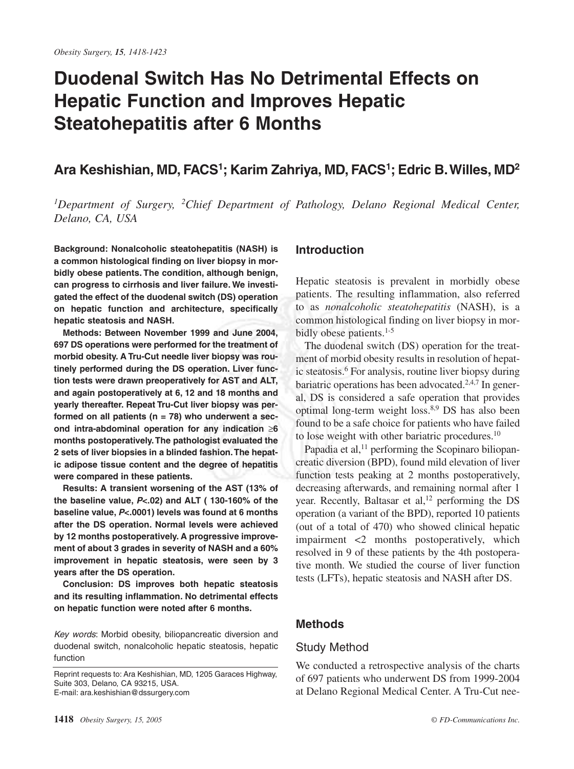# **Duodenal Switch Has No Detrimental Effects on Hepatic Function and Improves Hepatic Steatohepatitis after 6 Months**

# Ara Keshishian, MD, FACS<sup>1</sup>; Karim Zahriya, MD, FACS<sup>1</sup>; Edric B. Willes, MD<sup>2</sup>

<sup>1</sup>Department of Surgery, <sup>2</sup>Chief Department of Pathology, Delano Regional Medical Center, Delano, CA, USA

Background: Nonalcoholic steatohepatitis (NASH) is a common histological finding on liver biopsy in morbidly obese patients. The condition, although benign, can progress to cirrhosis and liver failure. We investigated the effect of the duodenal switch (DS) operation on hepatic function and architecture, specifically hepatic steatosis and NASH.

Methods: Between November 1999 and June 2004. 697 DS operations were performed for the treatment of morbid obesity. A Tru-Cut needle liver biopsy was routinely performed during the DS operation. Liver function tests were drawn preoperatively for AST and ALT, and again postoperatively at 6, 12 and 18 months and yearly thereafter. Repeat Tru-Cut liver biopsy was performed on all patients ( $n = 78$ ) who underwent a second intra-abdominal operation for any indication ≥6 months postoperatively. The pathologist evaluated the 2 sets of liver biopsies in a blinded fashion. The hepatic adipose tissue content and the degree of hepatitis were compared in these patients.

Results: A transient worsening of the AST (13% of the baseline value,  $P<.02$ ) and ALT (130-160% of the baseline value, P<.0001) levels was found at 6 months after the DS operation. Normal levels were achieved by 12 months postoperatively. A progressive improvement of about 3 grades in severity of NASH and a 60% improvement in hepatic steatosis, were seen by 3 years after the DS operation.

Conclusion: DS improves both hepatic steatosis and its resulting inflammation. No detrimental effects on hepatic function were noted after 6 months.

Key words: Morbid obesity, biliopancreatic diversion and duodenal switch, nonalcoholic hepatic steatosis, hepatic function

## **Introduction**

Hepatic steatosis is prevalent in morbidly obese patients. The resulting inflammation, also referred to as nonalcoholic steatohepatitis (NASH), is a common histological finding on liver biopsy in morbidly obese patients.<sup>1-5</sup>

The duodenal switch (DS) operation for the treatment of morbid obesity results in resolution of hepatic steatosis.<sup>6</sup> For analysis, routine liver biopsy during bariatric operations has been advocated.<sup>2,4,7</sup> In general, DS is considered a safe operation that provides optimal long-term weight loss.<sup>8,9</sup> DS has also been found to be a safe choice for patients who have failed to lose weight with other bariatric procedures.<sup>10</sup>

Papadia et al,<sup>11</sup> performing the Scopinaro biliopancreatic diversion (BPD), found mild elevation of liver function tests peaking at 2 months postoperatively, decreasing afterwards, and remaining normal after 1 year. Recently, Baltasar et al,<sup>12</sup> performing the DS operation (a variant of the BPD), reported 10 patients (out of a total of 470) who showed clinical hepatic impairment <2 months postoperatively, which resolved in 9 of these patients by the 4th postoperative month. We studied the course of liver function tests (LFTs), hepatic steatosis and NASH after DS.

## **Methods**

## **Study Method**

We conducted a retrospective analysis of the charts of 697 patients who underwent DS from 1999-2004 at Delano Regional Medical Center. A Tru-Cut nee-

Reprint requests to: Ara Keshishian, MD, 1205 Garaces Highway, Suite 303, Delano, CA 93215, USA. E-mail: ara.keshishian@dssurgery.com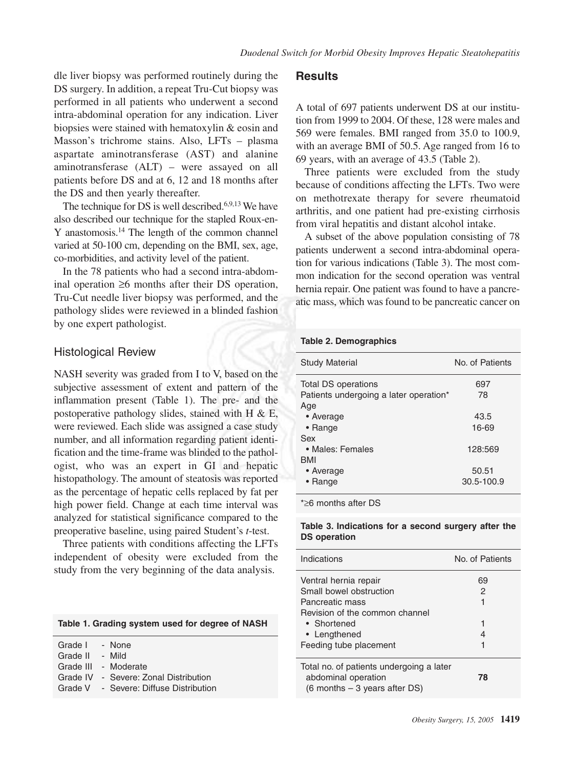dle liver biopsy was performed routinely during the DS surgery. In addition, a repeat Tru-Cut biopsy was performed in all patients who underwent a second intra-abdominal operation for any indication. Liver biopsies were stained with hematoxylin & eosin and Masson's trichrome stains. Also, LFTs - plasma aspartate aminotransferase (AST) and alanine aminotransferase (ALT) - were assayed on all patients before DS and at 6, 12 and 18 months after the DS and then yearly thereafter.

The technique for DS is well described.<sup>6,9,13</sup> We have also described our technique for the stapled Roux-en-Y anastomosis.<sup>14</sup> The length of the common channel varied at 50-100 cm, depending on the BMI, sex, age, co-morbidities, and activity level of the patient.

In the 78 patients who had a second intra-abdominal operation  $\geq 6$  months after their DS operation, Tru-Cut needle liver biopsy was performed, and the pathology slides were reviewed in a blinded fashion by one expert pathologist.

## **Histological Review**

NASH severity was graded from I to V, based on the subjective assessment of extent and pattern of the inflammation present (Table 1). The pre- and the postoperative pathology slides, stained with H  $\&$  E, were reviewed. Each slide was assigned a case study number, and all information regarding patient identification and the time-frame was blinded to the pathologist, who was an expert in GI and hepatic histopathology. The amount of steatosis was reported as the percentage of hepatic cells replaced by fat per high power field. Change at each time interval was analyzed for statistical significance compared to the preoperative baseline, using paired Student's t-test.

Three patients with conditions affecting the LFTs independent of obesity were excluded from the study from the very beginning of the data analysis.

| Table 1. Grading system used for degree of NASH |  |  |  |  |  |
|-------------------------------------------------|--|--|--|--|--|
|-------------------------------------------------|--|--|--|--|--|

| Grade I  | - None                                 |  |
|----------|----------------------------------------|--|
| Grade II | - Mild                                 |  |
|          | Grade III - Moderate                   |  |
| Grade IV | - Severe: Zonal Distribution           |  |
|          | Grade V - Severe: Diffuse Distribution |  |
|          |                                        |  |

## **Results**

A total of 697 patients underwent DS at our institution from 1999 to 2004. Of these, 128 were males and 569 were females. BMI ranged from 35.0 to 100.9, with an average BMI of 50.5. Age ranged from 16 to 69 years, with an average of 43.5 (Table 2).

Three patients were excluded from the study because of conditions affecting the LFTs. Two were on methotrexate therapy for severe rheumatoid arthritis, and one patient had pre-existing cirrhosis from viral hepatitis and distant alcohol intake.

A subset of the above population consisting of 78 patients underwent a second intra-abdominal operation for various indications (Table 3). The most common indication for the second operation was ventral hernia repair. One patient was found to have a pancreatic mass, which was found to be pancreatic cancer on

#### **Table 2. Demographics**

| <b>Study Material</b>                                                       | No. of Patients     |
|-----------------------------------------------------------------------------|---------------------|
| <b>Total DS operations</b><br>Patients undergoing a later operation*<br>Age | 697<br>78           |
| • Average<br>• Range                                                        | 43.5<br>16-69       |
| Sex<br>• Males: Females                                                     | 128:569             |
| <b>BMI</b><br>• Average<br>$\bullet$ Range                                  | 50.51<br>30.5-100.9 |

\* > 6 months after DS

| Table 3. Indications for a second surgery after the |  |  |  |
|-----------------------------------------------------|--|--|--|
| <b>DS operation</b>                                 |  |  |  |

| Indications                                                                                         | No. of Patients |
|-----------------------------------------------------------------------------------------------------|-----------------|
| Ventral hernia repair                                                                               | 69              |
| Small bowel obstruction                                                                             | 2               |
| Pancreatic mass                                                                                     | 1               |
| Revision of the common channel                                                                      |                 |
| • Shortened                                                                                         | 1               |
| • Lengthened                                                                                        | 4               |
| Feeding tube placement                                                                              | 1               |
| Total no. of patients undergoing a later<br>abdominal operation<br>$(6$ months $-3$ vears after DS) | 78              |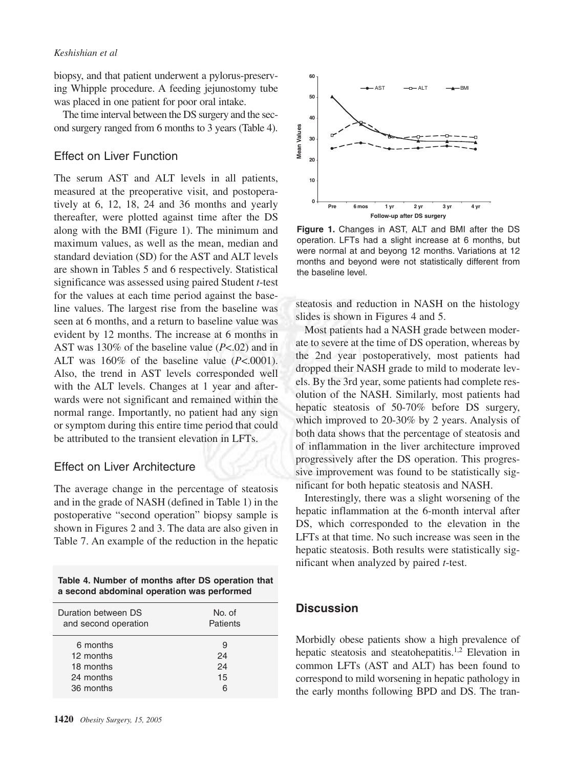#### Keshishian et al.

biopsy, and that patient underwent a pylorus-preserving Whipple procedure. A feeding jejunostomy tube was placed in one patient for poor oral intake.

The time interval between the DS surgery and the second surgery ranged from 6 months to 3 years (Table 4).

## **Effect on Liver Function**

The serum AST and ALT levels in all patients, measured at the preoperative visit, and postoperatively at 6, 12, 18, 24 and 36 months and yearly thereafter, were plotted against time after the DS along with the BMI (Figure 1). The minimum and maximum values, as well as the mean, median and standard deviation (SD) for the AST and ALT levels are shown in Tables 5 and 6 respectively. Statistical significance was assessed using paired Student t-test for the values at each time period against the baseline values. The largest rise from the baseline was seen at 6 months, and a return to baseline value was evident by 12 months. The increase at 6 months in AST was 130% of the baseline value  $(P<.02)$  and in ALT was  $160\%$  of the baseline value ( $P < .0001$ ). Also, the trend in AST levels corresponded well with the ALT levels. Changes at 1 year and afterwards were not significant and remained within the normal range. Importantly, no patient had any sign or symptom during this entire time period that could be attributed to the transient elevation in LFTs.

## **Effect on Liver Architecture**

The average change in the percentage of steatosis and in the grade of NASH (defined in Table 1) in the postoperative "second operation" biopsy sample is shown in Figures 2 and 3. The data are also given in Table 7. An example of the reduction in the hepatic

| Table 4. Number of months after DS operation that |  |
|---------------------------------------------------|--|
| a second abdominal operation was performed        |  |

| Duration between DS                                          | No. of              |
|--------------------------------------------------------------|---------------------|
| and second operation                                         | Patients            |
| 6 months<br>12 months<br>18 months<br>24 months<br>36 months | 9<br>24<br>24<br>15 |



Figure 1. Changes in AST, ALT and BMI after the DS operation. LFTs had a slight increase at 6 months, but were normal at and beyong 12 months. Variations at 12 months and beyond were not statistically different from the baseline level.

steatosis and reduction in NASH on the histology slides is shown in Figures 4 and 5.

Most patients had a NASH grade between moderate to severe at the time of DS operation, whereas by the 2nd year postoperatively, most patients had dropped their NASH grade to mild to moderate levels. By the 3rd year, some patients had complete resolution of the NASH. Similarly, most patients had hepatic steatosis of 50-70% before DS surgery, which improved to 20-30% by 2 years. Analysis of both data shows that the percentage of steatosis and of inflammation in the liver architecture improved progressively after the DS operation. This progressive improvement was found to be statistically significant for both hepatic steatosis and NASH.

Interestingly, there was a slight worsening of the hepatic inflammation at the 6-month interval after DS, which corresponded to the elevation in the LFTs at that time. No such increase was seen in the hepatic steatosis. Both results were statistically significant when analyzed by paired *t*-test.

## **Discussion**

Morbidly obese patients show a high prevalence of hepatic steatosis and steatohepatitis.<sup>1,2</sup> Elevation in common LFTs (AST and ALT) has been found to correspond to mild worsening in hepatic pathology in the early months following BPD and DS. The tran-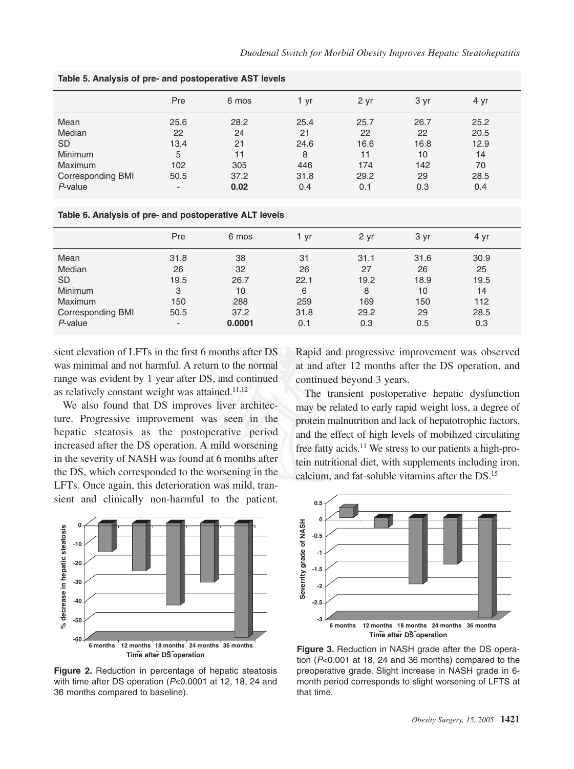|                   | Pre                      | 6 mos | 1 yr | 2 yr | 3 yr | 4 yr |
|-------------------|--------------------------|-------|------|------|------|------|
| Mean              | 25.6                     | 28.2  | 25.4 | 25.7 | 26.7 | 25.2 |
| Median            | 22                       | 24    | 21   | 22   | 22   | 20.5 |
| <b>SD</b>         | 13.4                     | 21    | 24.6 | 16.6 | 16.8 | 12.9 |
| <b>Minimum</b>    | 5                        | 11    | 8    | 11   | 10   | 14   |
| <b>Maximum</b>    | 102                      | 305   | 446  | 174  | 142  | 70   |
| Corresponding BMI | 50.5                     | 37.2  | 31.8 | 29.2 | 29   | 28.5 |
| $P$ -value        | $\overline{\phantom{0}}$ | 0.02  | 0.4  | 0.1  | 0.3  | 0.4  |

#### Table 5. Analysis of pre- and postoperative AST levels

#### Table 6. Analysis of pre- and postoperative ALT levels

|                   | Pre  | 6 mos  | 1 yr | 2 yr | 3 yr | 4 yr |  |
|-------------------|------|--------|------|------|------|------|--|
| Mean              | 31.8 | 38     | 31   | 31.1 | 31.6 | 30.9 |  |
| Median            | 26   | 32     | 26   | 27   | 26   | 25   |  |
| <b>SD</b>         | 19.5 | 26.7   | 22.1 | 19.2 | 18.9 | 19.5 |  |
| Minimum           | 3    | 10     | 6    | 8    | 10   | 14   |  |
| <b>Maximum</b>    | 150  | 288    | 259  | 169  | 150  | 112  |  |
| Corresponding BMI | 50.5 | 37.2   | 31.8 | 29.2 | 29   | 28.5 |  |
| P-value           |      | 0.0001 | 0.1  | 0.3  | 0.5  | 0.3  |  |

sient elevation of LFTs in the first 6 months after DS was minimal and not harmful. A return to the normal range was evident by 1 year after DS, and continued as relatively constant weight was attained.<sup>11,12</sup>

We also found that DS improves liver architecture. Progressive improvement was seen in the hepatic steatosis as the postoperative period increased after the DS operation. A mild worsening in the severity of NASH was found at 6 months after the DS, which corresponded to the worsening in the LFTs. Once again, this deterioration was mild, transient and clinically non-harmful to the patient. Rapid and progressive improvement was observed at and after 12 months after the DS operation, and continued beyond 3 years.

The transient postoperative hepatic dysfunction may be related to early rapid weight loss, a degree of protein malnutrition and lack of hepatotrophic factors, and the effect of high levels of mobilized circulating free fatty acids.<sup>11</sup> We stress to our patients a high-protein nutritional diet, with supplements including iron, calcium, and fat-soluble vitamins after the DS.<sup>15</sup>







Figure 3. Reduction in NASH grade after the DS operation ( $P<0.001$  at 18, 24 and 36 months) compared to the preoperative grade. Slight increase in NASH grade in 6month period corresponds to slight worsening of LFTS at that time.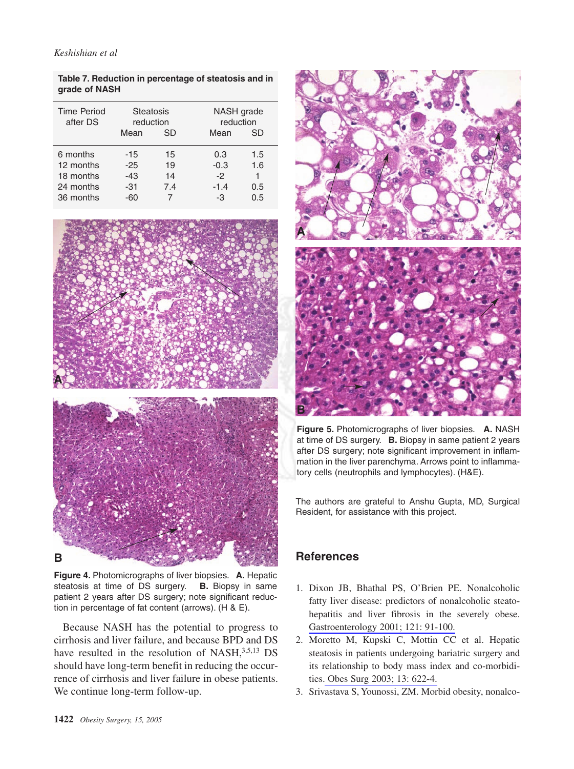Table 7. Reduction in percentage of steatosis and in grade of NASH

| <b>Time Period</b><br>after DS | <b>Steatosis</b><br>reduction |     | NASH grade<br>reduction |     |
|--------------------------------|-------------------------------|-----|-------------------------|-----|
|                                | Mean                          | SD. | Mean                    | SD. |
| 6 months                       | $-15$                         | 15  | 0.3                     | 1.5 |
| 12 months                      | $-25$                         | 19  | $-0.3$                  | 1.6 |
| 18 months                      | -43                           | 14  | $-2$                    | 1   |
| 24 months                      | -31                           | 7.4 | $-1.4$                  | 0.5 |
| 36 months                      | -60                           |     | -3                      | 0.5 |





patient 2 years after DS surgery; note significant reduction in percentage of fat content (arrows). (H & E).

Because NASH has the potential to progress to cirrhosis and liver failure, and because BPD and DS have resulted in the resolution of NASH,<sup>3,5,13</sup> DS should have long-term benefit in reducing the occurrence of cirrhosis and liver failure in obese patients. We continue long-term follow-up.



Figure 5. Photomicrographs of liver biopsies. A. NASH at time of DS surgery. B. Biopsy in same patient 2 years after DS surgery; note significant improvement in inflammation in the liver parenchyma. Arrows point to inflammatory cells (neutrophils and lymphocytes). (H&E).

The authors are grateful to Anshu Gupta, MD, Surgical Resident, for assistance with this project.

## **References**

- 1. Dixon JB, Bhathal PS, O'Brien PE. Nonalcoholic fatty liver disease: predictors of nonalcoholic steatohepatitis and liver fibrosis in the severely obese. Gastroenterology 2001; 121: 91-100.
- 2. Moretto M, Kupski C, Mottin CC et al. Hepatic steatosis in patients undergoing bariatric surgery and its relationship to body mass index and co-morbidities. Obes Surg 2003; 13: 622-4.
- 3. Srivastava S, Younossi, ZM. Morbid obesity, nonalco-